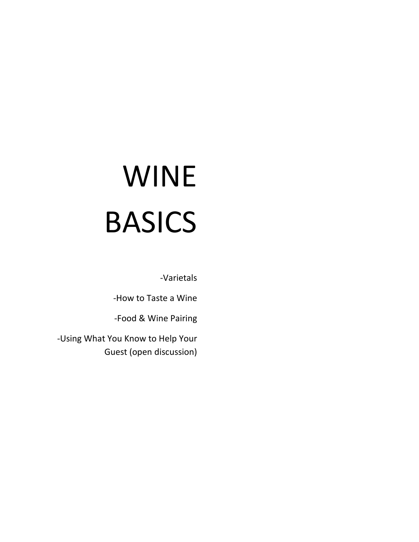# WINE BASICS

-Varietals

-How to Taste a Wine

-Food & Wine Pairing

-Using What You Know to Help Your Guest (open discussion)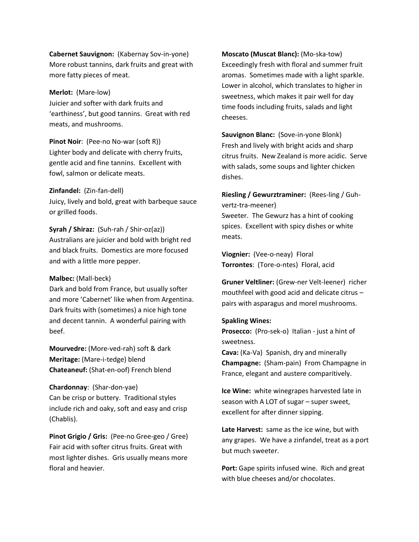**Cabernet Sauvignon:** (Kabernay Sov-in-yone) More robust tannins, dark fruits and great with more fatty pieces of meat.

#### **Merlot:** (Mare-low)

Juicier and softer with dark fruits and 'earthiness', but good tannins. Great with red meats, and mushrooms.

**Pinot Noir**: (Pee-no No-war (soft R)) Lighter body and delicate with cherry fruits, gentle acid and fine tannins. Excellent with fowl, salmon or delicate meats.

#### **Zinfandel:** (Zin-fan-dell)

Juicy, lively and bold, great with barbeque sauce or grilled foods.

## **Syrah / Shiraz:** (Suh-rah / Shir-oz(az))

Australians are juicier and bold with bright red and black fruits. Domestics are more focused and with a little more pepper.

## **Malbec:** (Mall-beck)

Dark and bold from France, but usually softer and more 'Cabernet' like when from Argentina. Dark fruits with (sometimes) a nice high tone and decent tannin. A wonderful pairing with beef.

**Mourvedre:** (More-ved-rah) soft & dark **Meritage:** (Mare-i-tedge) blend **Chateaneuf:** (Shat-en-oof) French blend

#### **Chardonnay**: (Shar-don-yae)

Can be crisp or buttery. Traditional styles include rich and oaky, soft and easy and crisp (Chablis).

**Pinot Grigio / Gris:** (Pee-no Gree-geo / Gree) Fair acid with softer citrus fruits. Great with most lighter dishes. Gris usually means more floral and heavier.

**Moscato (Muscat Blanc):** (Mo-ska-tow) Exceedingly fresh with floral and summer fruit aromas. Sometimes made with a light sparkle. Lower in alcohol, which translates to higher in sweetness, which makes it pair well for day time foods including fruits, salads and light cheeses.

**Sauvignon Blanc:** (Sove-in-yone Blonk) Fresh and lively with bright acids and sharp citrus fruits. New Zealand is more acidic. Serve with salads, some soups and lighter chicken dishes.

**Riesling / Gewurztraminer:** (Rees-ling / Guhvertz-tra-meener) Sweeter. The Gewurz has a hint of cooking

spices. Excellent with spicy dishes or white meats.

**Viognier:** (Vee-o-neay) Floral **Torrontes**: (Tore-o-ntes) Floral, acid

**Gruner Veltliner:** (Grew-ner Velt-leener) richer mouthfeel with good acid and delicate citrus – pairs with asparagus and morel mushrooms.

#### **Spakling Wines:**

**Prosecco:** (Pro-sek-o) Italian - just a hint of sweetness.

**Cava:** (Ka-Va) Spanish, dry and minerally **Champagne:** (Sham-pain) From Champagne in France, elegant and austere comparitively.

**Ice Wine:** white winegrapes harvested late in season with A LOT of sugar – super sweet, excellent for after dinner sipping.

**Late Harvest:** same as the ice wine, but with any grapes. We have a zinfandel, treat as a port but much sweeter.

**Port:** Gape spirits infused wine. Rich and great with blue cheeses and/or chocolates.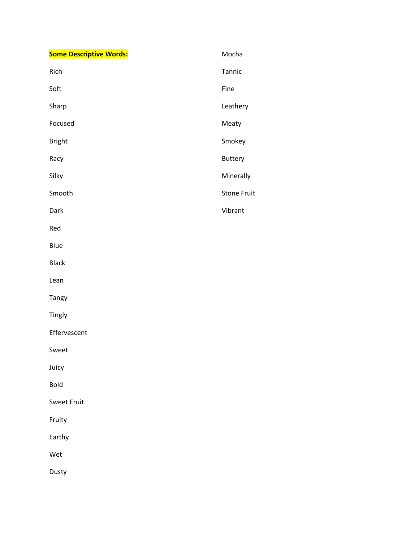| <b>Some Descriptive Words:</b> | Mocha              |
|--------------------------------|--------------------|
| Rich                           | Tannic             |
| Soft                           | Fine               |
| Sharp                          | Leathery           |
| Focused                        | Meaty              |
| <b>Bright</b>                  | Smokey             |
| Racy                           | Buttery            |
| Silky                          | Minerally          |
| Smooth                         | <b>Stone Fruit</b> |
| Dark                           | Vibrant            |
| Red                            |                    |
| Blue                           |                    |
| Black                          |                    |
| Lean                           |                    |
| Tangy                          |                    |
| Tingly                         |                    |
| Effervescent                   |                    |
| Sweet                          |                    |
| Juicy                          |                    |
| <b>Bold</b>                    |                    |
| <b>Sweet Fruit</b>             |                    |
| Fruity                         |                    |
| Earthy                         |                    |
| Wet                            |                    |
| Dusty                          |                    |
|                                |                    |